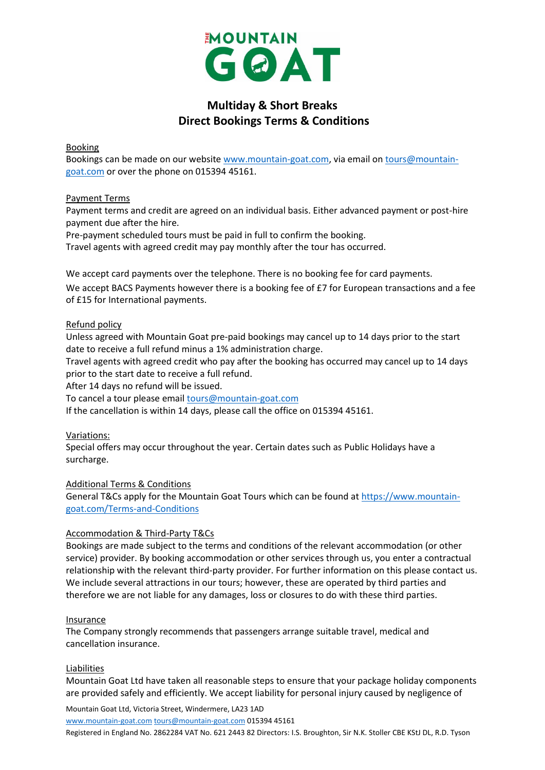

# **Multiday & Short Breaks Direct Bookings Terms & Conditions**

## Booking

Bookings can be made on our website [www.mountain-goat.com,](http://www.mountain-goat.com/) via email on [tours@mountain](mailto:tours@mountain-goat.com)[goat.com](mailto:tours@mountain-goat.com) or over the phone on 015394 45161.

## Payment Terms

Payment terms and credit are agreed on an individual basis. Either advanced payment or post-hire payment due after the hire.

Pre-payment scheduled tours must be paid in full to confirm the booking.

Travel agents with agreed credit may pay monthly after the tour has occurred.

We accept card payments over the telephone. There is no booking fee for card payments.

We accept BACS Payments however there is a booking fee of £7 for European transactions and a fee of £15 for International payments.

## Refund policy

Unless agreed with Mountain Goat pre-paid bookings may cancel up to 14 days prior to the start date to receive a full refund minus a 1% administration charge.

Travel agents with agreed credit who pay after the booking has occurred may cancel up to 14 days prior to the start date to receive a full refund.

After 14 days no refund will be issued.

To cancel a tour please email [tours@mountain-goat.com](mailto:tours@mountain-goat.com)

If the cancellation is within 14 days, please call the office on 015394 45161.

## Variations:

Special offers may occur throughout the year. Certain dates such as Public Holidays have a surcharge.

Additional Terms & Conditions

General T&Cs apply for the Mountain Goat Tours which can be found a[t https://www.mountain](https://www.mountain-goat.com/Terms-and-Conditions)[goat.com/Terms-and-Conditions](https://www.mountain-goat.com/Terms-and-Conditions)

#### Accommodation & Third-Party T&Cs

Bookings are made subject to the terms and conditions of the relevant accommodation (or other service) provider. By booking accommodation or other services through us, you enter a contractual relationship with the relevant third-party provider. For further information on this please contact us. We include several attractions in our tours; however, these are operated by third parties and therefore we are not liable for any damages, loss or closures to do with these third parties.

#### Insurance

The Company strongly recommends that passengers arrange suitable travel, medical and cancellation insurance.

#### Liabilities

Mountain Goat Ltd have taken all reasonable steps to ensure that your package holiday components are provided safely and efficiently. We accept liability for personal injury caused by negligence of

Mountain Goat Ltd, Victoria Street, Windermere, LA23 1AD

[www.mountain-goat.com](http://www.mountain-goat.com/) [tours@mountain-goat.com](mailto:tours@mountain-goat.com) 015394 45161

Registered in England No. 2862284 VAT No. 621 2443 82 Directors: I.S. Broughton, Sir N.K. Stoller CBE KStJ DL, R.D. Tyson